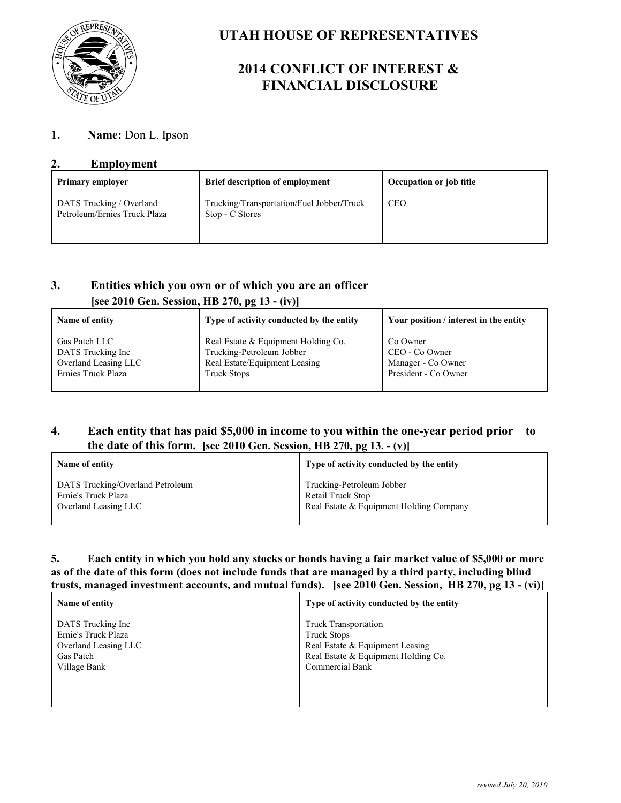

# **UTAH HOUSE OF REPRESENTATIVES**

# **2014 CONFLICT OF INTEREST & FINANCIAL DISCLOSURE**

# **1. Name:** Don L. Ipson

## **2. Employment**

| <b>Primary employer</b>                                  | <b>Brief description of employment</b>                       | Occupation or job title |
|----------------------------------------------------------|--------------------------------------------------------------|-------------------------|
| DATS Trucking / Overland<br>Petroleum/Ernies Truck Plaza | Trucking/Transportation/Fuel Jobber/Truck<br>Stop - C Stores | <b>CEO</b>              |

# **3. Entities which you own or of which you are an officer [see 2010 Gen. Session, HB 270, pg 13 - (iv)]**

| Name of entity       | Type of activity conducted by the entity | Your position / interest in the entity |
|----------------------|------------------------------------------|----------------------------------------|
| <b>Gas Patch LLC</b> | Real Estate & Equipment Holding Co.      | Co Owner                               |
| DATS Trucking Inc    | Trucking-Petroleum Jobber                | CEO - Co Owner                         |
| Overland Leasing LLC | Real Estate/Equipment Leasing            | Manager - Co Owner                     |
| Ernies Truck Plaza   | <b>Truck Stops</b>                       | President - Co Owner                   |

# **4. Each entity that has paid \$5,000 in income to you within the one-year period prior to the date of this form. [see 2010 Gen. Session, HB 270, pg 13. - (v)]**

| Name of entity                   | Type of activity conducted by the entity |
|----------------------------------|------------------------------------------|
| DATS Trucking/Overland Petroleum | Trucking-Petroleum Jobber                |
| Ernie's Truck Plaza              | Retail Truck Stop                        |
| Overland Leasing LLC             | Real Estate & Equipment Holding Company  |

#### **5. Each entity in which you hold any stocks or bonds having a fair market value of \$5,000 or more as of the date of this form (does not include funds that are managed by a third party, including blind trusts, managed investment accounts, and mutual funds). [see 2010 Gen. Session, HB 270, pg 13 - (vi)]**

| Name of entity       | Type of activity conducted by the entity |
|----------------------|------------------------------------------|
| DATS Trucking Inc    | <b>Truck Transportation</b>              |
| Ernie's Truck Plaza  | <b>Truck Stops</b>                       |
| Overland Leasing LLC | Real Estate & Equipment Leasing          |
| Gas Patch            | Real Estate & Equipment Holding Co.      |
| Village Bank         | <b>Commercial Bank</b>                   |